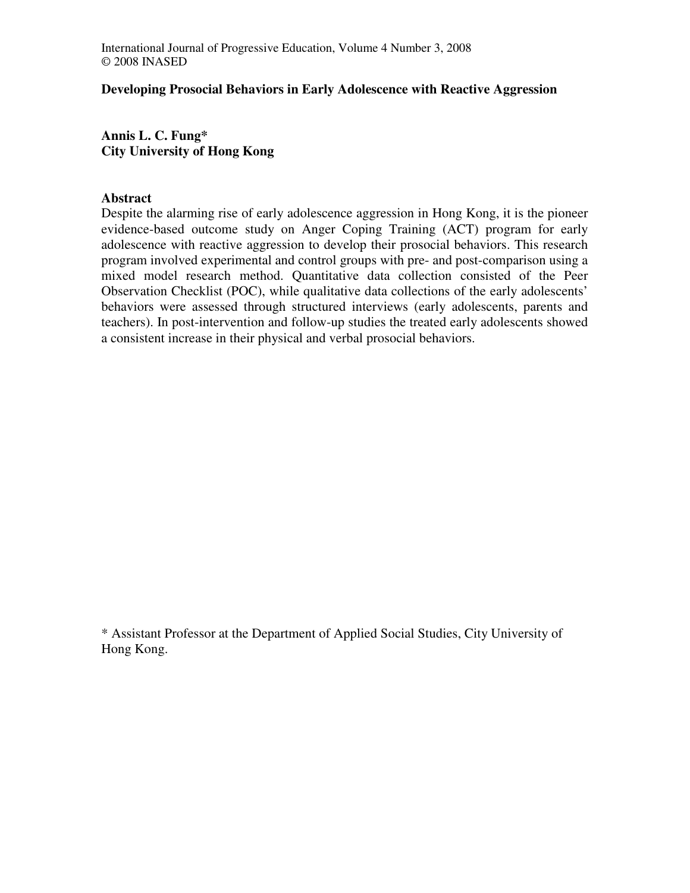## **Developing Prosocial Behaviors in Early Adolescence with Reactive Aggression**

**Annis L. C. Fung\* City University of Hong Kong** 

## **Abstract**

Despite the alarming rise of early adolescence aggression in Hong Kong, it is the pioneer evidence-based outcome study on Anger Coping Training (ACT) program for early adolescence with reactive aggression to develop their prosocial behaviors. This research program involved experimental and control groups with pre- and post-comparison using a mixed model research method. Quantitative data collection consisted of the Peer Observation Checklist (POC), while qualitative data collections of the early adolescents' behaviors were assessed through structured interviews (early adolescents, parents and teachers). In post-intervention and follow-up studies the treated early adolescents showed a consistent increase in their physical and verbal prosocial behaviors.

\* Assistant Professor at the Department of Applied Social Studies, City University of Hong Kong.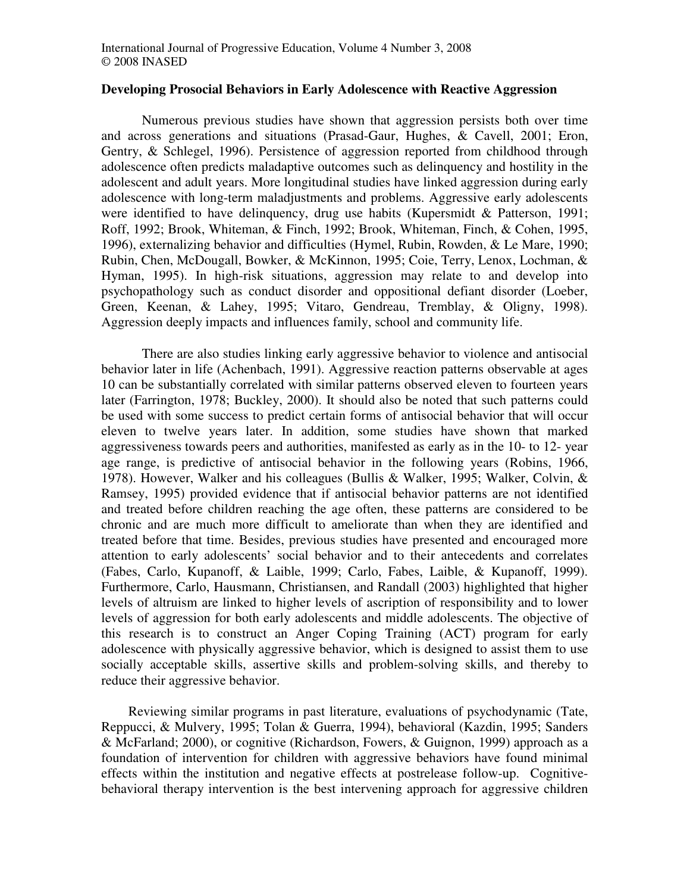#### **Developing Prosocial Behaviors in Early Adolescence with Reactive Aggression**

Numerous previous studies have shown that aggression persists both over time and across generations and situations (Prasad-Gaur, Hughes, & Cavell, 2001; Eron, Gentry, & Schlegel, 1996). Persistence of aggression reported from childhood through adolescence often predicts maladaptive outcomes such as delinquency and hostility in the adolescent and adult years. More longitudinal studies have linked aggression during early adolescence with long-term maladjustments and problems. Aggressive early adolescents were identified to have delinquency, drug use habits (Kupersmidt & Patterson, 1991; Roff, 1992; Brook, Whiteman, & Finch, 1992; Brook, Whiteman, Finch, & Cohen, 1995, 1996), externalizing behavior and difficulties (Hymel, Rubin, Rowden, & Le Mare, 1990; Rubin, Chen, McDougall, Bowker, & McKinnon, 1995; Coie, Terry, Lenox, Lochman, & Hyman, 1995). In high-risk situations, aggression may relate to and develop into psychopathology such as conduct disorder and oppositional defiant disorder (Loeber, Green, Keenan, & Lahey, 1995; Vitaro, Gendreau, Tremblay, & Oligny, 1998). Aggression deeply impacts and influences family, school and community life.

There are also studies linking early aggressive behavior to violence and antisocial behavior later in life (Achenbach, 1991). Aggressive reaction patterns observable at ages 10 can be substantially correlated with similar patterns observed eleven to fourteen years later (Farrington, 1978; Buckley, 2000). It should also be noted that such patterns could be used with some success to predict certain forms of antisocial behavior that will occur eleven to twelve years later. In addition, some studies have shown that marked aggressiveness towards peers and authorities, manifested as early as in the 10- to 12- year age range, is predictive of antisocial behavior in the following years (Robins, 1966, 1978). However, Walker and his colleagues (Bullis & Walker, 1995; Walker, Colvin, & Ramsey, 1995) provided evidence that if antisocial behavior patterns are not identified and treated before children reaching the age often, these patterns are considered to be chronic and are much more difficult to ameliorate than when they are identified and treated before that time. Besides, previous studies have presented and encouraged more attention to early adolescents' social behavior and to their antecedents and correlates (Fabes, Carlo, Kupanoff, & Laible, 1999; Carlo, Fabes, Laible, & Kupanoff, 1999). Furthermore, Carlo, Hausmann, Christiansen, and Randall (2003) highlighted that higher levels of altruism are linked to higher levels of ascription of responsibility and to lower levels of aggression for both early adolescents and middle adolescents. The objective of this research is to construct an Anger Coping Training (ACT) program for early adolescence with physically aggressive behavior, which is designed to assist them to use socially acceptable skills, assertive skills and problem-solving skills, and thereby to reduce their aggressive behavior.

Reviewing similar programs in past literature, evaluations of psychodynamic (Tate, Reppucci, & Mulvery, 1995; Tolan & Guerra, 1994), behavioral (Kazdin, 1995; Sanders & McFarland; 2000), or cognitive (Richardson, Fowers, & Guignon, 1999) approach as a foundation of intervention for children with aggressive behaviors have found minimal effects within the institution and negative effects at postrelease follow-up. Cognitivebehavioral therapy intervention is the best intervening approach for aggressive children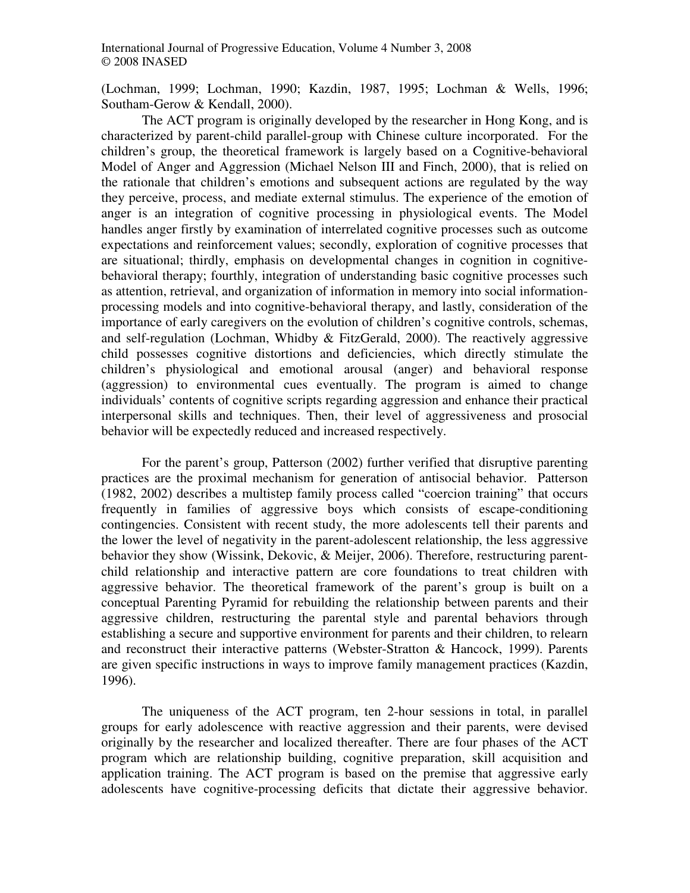(Lochman, 1999; Lochman, 1990; Kazdin, 1987, 1995; Lochman & Wells, 1996; Southam-Gerow & Kendall, 2000).

The ACT program is originally developed by the researcher in Hong Kong, and is characterized by parent-child parallel-group with Chinese culture incorporated. For the children's group, the theoretical framework is largely based on a Cognitive-behavioral Model of Anger and Aggression (Michael Nelson III and Finch, 2000), that is relied on the rationale that children's emotions and subsequent actions are regulated by the way they perceive, process, and mediate external stimulus. The experience of the emotion of anger is an integration of cognitive processing in physiological events. The Model handles anger firstly by examination of interrelated cognitive processes such as outcome expectations and reinforcement values; secondly, exploration of cognitive processes that are situational; thirdly, emphasis on developmental changes in cognition in cognitivebehavioral therapy; fourthly, integration of understanding basic cognitive processes such as attention, retrieval, and organization of information in memory into social informationprocessing models and into cognitive-behavioral therapy, and lastly, consideration of the importance of early caregivers on the evolution of children's cognitive controls, schemas, and self-regulation (Lochman, Whidby & FitzGerald, 2000). The reactively aggressive child possesses cognitive distortions and deficiencies, which directly stimulate the children's physiological and emotional arousal (anger) and behavioral response (aggression) to environmental cues eventually. The program is aimed to change individuals' contents of cognitive scripts regarding aggression and enhance their practical interpersonal skills and techniques. Then, their level of aggressiveness and prosocial behavior will be expectedly reduced and increased respectively.

For the parent's group, Patterson (2002) further verified that disruptive parenting practices are the proximal mechanism for generation of antisocial behavior. Patterson (1982, 2002) describes a multistep family process called "coercion training" that occurs frequently in families of aggressive boys which consists of escape-conditioning contingencies. Consistent with recent study, the more adolescents tell their parents and the lower the level of negativity in the parent-adolescent relationship, the less aggressive behavior they show (Wissink, Dekovic, & Meijer, 2006). Therefore, restructuring parentchild relationship and interactive pattern are core foundations to treat children with aggressive behavior. The theoretical framework of the parent's group is built on a conceptual Parenting Pyramid for rebuilding the relationship between parents and their aggressive children, restructuring the parental style and parental behaviors through establishing a secure and supportive environment for parents and their children, to relearn and reconstruct their interactive patterns (Webster-Stratton & Hancock, 1999). Parents are given specific instructions in ways to improve family management practices (Kazdin, 1996).

The uniqueness of the ACT program, ten 2-hour sessions in total, in parallel groups for early adolescence with reactive aggression and their parents, were devised originally by the researcher and localized thereafter. There are four phases of the ACT program which are relationship building, cognitive preparation, skill acquisition and application training. The ACT program is based on the premise that aggressive early adolescents have cognitive-processing deficits that dictate their aggressive behavior.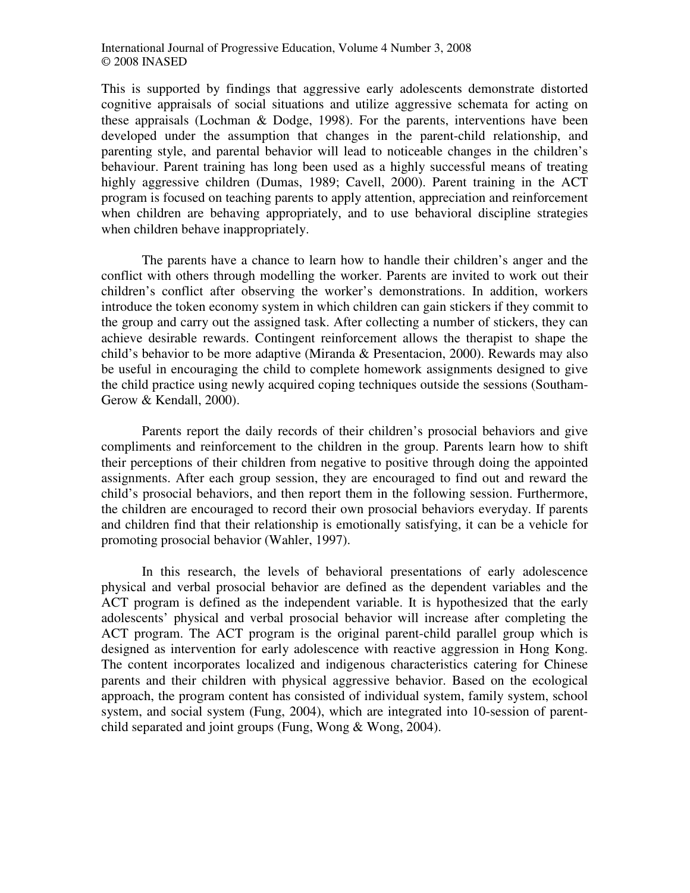This is supported by findings that aggressive early adolescents demonstrate distorted cognitive appraisals of social situations and utilize aggressive schemata for acting on these appraisals (Lochman & Dodge, 1998). For the parents, interventions have been developed under the assumption that changes in the parent-child relationship, and parenting style, and parental behavior will lead to noticeable changes in the children's behaviour. Parent training has long been used as a highly successful means of treating highly aggressive children (Dumas, 1989; Cavell, 2000). Parent training in the ACT program is focused on teaching parents to apply attention, appreciation and reinforcement when children are behaving appropriately, and to use behavioral discipline strategies when children behave inappropriately.

The parents have a chance to learn how to handle their children's anger and the conflict with others through modelling the worker. Parents are invited to work out their children's conflict after observing the worker's demonstrations. In addition, workers introduce the token economy system in which children can gain stickers if they commit to the group and carry out the assigned task. After collecting a number of stickers, they can achieve desirable rewards. Contingent reinforcement allows the therapist to shape the child's behavior to be more adaptive (Miranda & Presentacion, 2000). Rewards may also be useful in encouraging the child to complete homework assignments designed to give the child practice using newly acquired coping techniques outside the sessions (Southam-Gerow & Kendall, 2000).

Parents report the daily records of their children's prosocial behaviors and give compliments and reinforcement to the children in the group. Parents learn how to shift their perceptions of their children from negative to positive through doing the appointed assignments. After each group session, they are encouraged to find out and reward the child's prosocial behaviors, and then report them in the following session. Furthermore, the children are encouraged to record their own prosocial behaviors everyday. If parents and children find that their relationship is emotionally satisfying, it can be a vehicle for promoting prosocial behavior (Wahler, 1997).

In this research, the levels of behavioral presentations of early adolescence physical and verbal prosocial behavior are defined as the dependent variables and the ACT program is defined as the independent variable. It is hypothesized that the early adolescents' physical and verbal prosocial behavior will increase after completing the ACT program. The ACT program is the original parent-child parallel group which is designed as intervention for early adolescence with reactive aggression in Hong Kong. The content incorporates localized and indigenous characteristics catering for Chinese parents and their children with physical aggressive behavior. Based on the ecological approach, the program content has consisted of individual system, family system, school system, and social system (Fung, 2004), which are integrated into 10-session of parentchild separated and joint groups (Fung, Wong & Wong, 2004).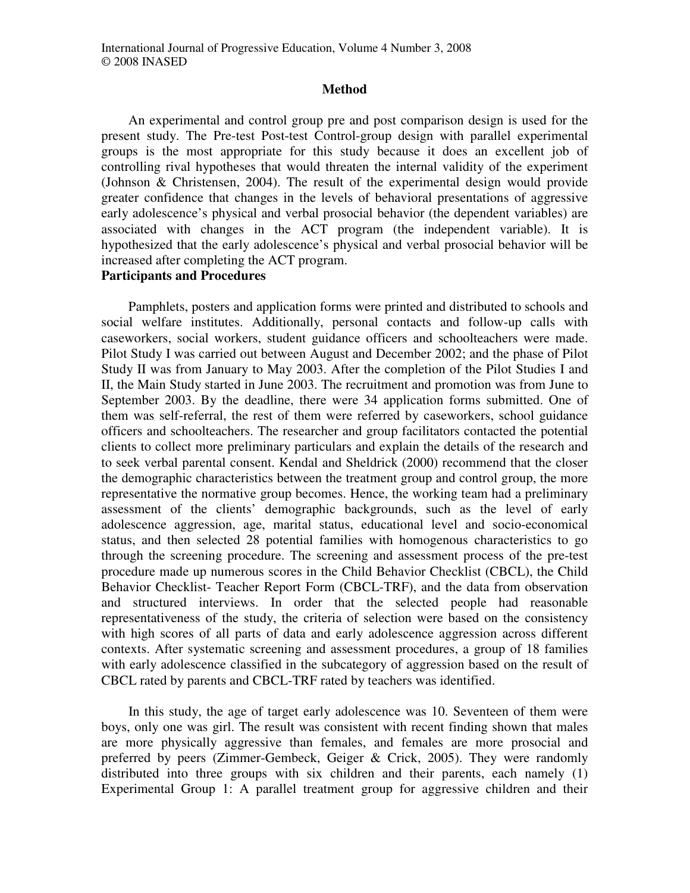#### **Method**

An experimental and control group pre and post comparison design is used for the present study. The Pre-test Post-test Control-group design with parallel experimental groups is the most appropriate for this study because it does an excellent job of controlling rival hypotheses that would threaten the internal validity of the experiment (Johnson & Christensen, 2004). The result of the experimental design would provide greater confidence that changes in the levels of behavioral presentations of aggressive early adolescence's physical and verbal prosocial behavior (the dependent variables) are associated with changes in the ACT program (the independent variable). It is hypothesized that the early adolescence's physical and verbal prosocial behavior will be increased after completing the ACT program.

## **Participants and Procedures**

Pamphlets, posters and application forms were printed and distributed to schools and social welfare institutes. Additionally, personal contacts and follow-up calls with caseworkers, social workers, student guidance officers and schoolteachers were made. Pilot Study I was carried out between August and December 2002; and the phase of Pilot Study II was from January to May 2003. After the completion of the Pilot Studies I and II, the Main Study started in June 2003. The recruitment and promotion was from June to September 2003. By the deadline, there were 34 application forms submitted. One of them was self-referral, the rest of them were referred by caseworkers, school guidance officers and schoolteachers. The researcher and group facilitators contacted the potential clients to collect more preliminary particulars and explain the details of the research and to seek verbal parental consent. Kendal and Sheldrick (2000) recommend that the closer the demographic characteristics between the treatment group and control group, the more representative the normative group becomes. Hence, the working team had a preliminary assessment of the clients' demographic backgrounds, such as the level of early adolescence aggression, age, marital status, educational level and socio-economical status, and then selected 28 potential families with homogenous characteristics to go through the screening procedure. The screening and assessment process of the pre-test procedure made up numerous scores in the Child Behavior Checklist (CBCL), the Child Behavior Checklist- Teacher Report Form (CBCL-TRF), and the data from observation and structured interviews. In order that the selected people had reasonable representativeness of the study, the criteria of selection were based on the consistency with high scores of all parts of data and early adolescence aggression across different contexts. After systematic screening and assessment procedures, a group of 18 families with early adolescence classified in the subcategory of aggression based on the result of CBCL rated by parents and CBCL-TRF rated by teachers was identified.

In this study, the age of target early adolescence was 10. Seventeen of them were boys, only one was girl. The result was consistent with recent finding shown that males are more physically aggressive than females, and females are more prosocial and preferred by peers (Zimmer-Gembeck, Geiger & Crick, 2005). They were randomly distributed into three groups with six children and their parents, each namely (1) Experimental Group 1: A parallel treatment group for aggressive children and their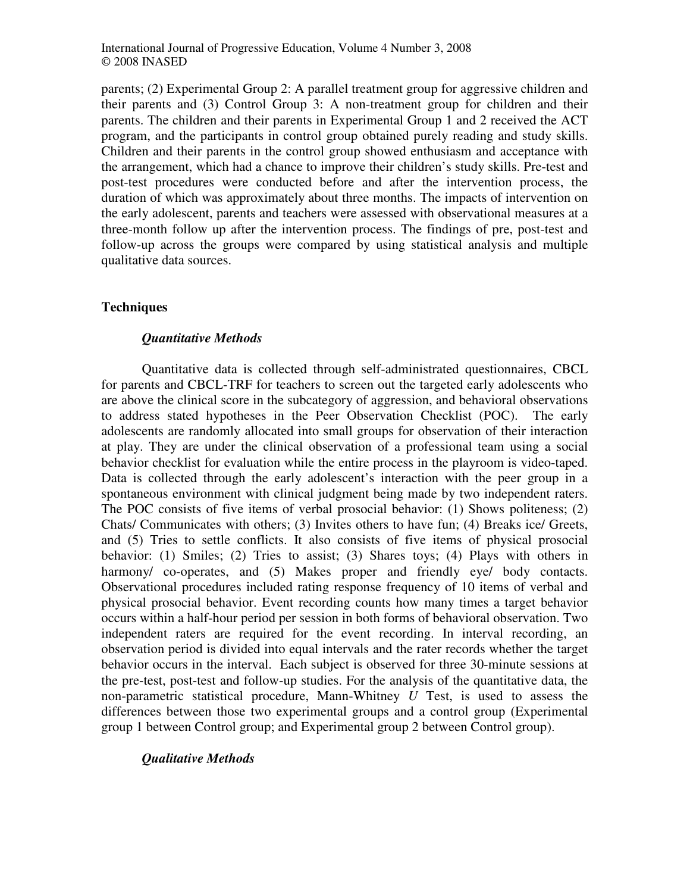parents; (2) Experimental Group 2: A parallel treatment group for aggressive children and their parents and (3) Control Group 3: A non-treatment group for children and their parents. The children and their parents in Experimental Group 1 and 2 received the ACT program, and the participants in control group obtained purely reading and study skills. Children and their parents in the control group showed enthusiasm and acceptance with the arrangement, which had a chance to improve their children's study skills. Pre-test and post-test procedures were conducted before and after the intervention process, the duration of which was approximately about three months. The impacts of intervention on the early adolescent, parents and teachers were assessed with observational measures at a three-month follow up after the intervention process. The findings of pre, post-test and follow-up across the groups were compared by using statistical analysis and multiple qualitative data sources.

# **Techniques**

## *Quantitative Methods*

Quantitative data is collected through self-administrated questionnaires, CBCL for parents and CBCL-TRF for teachers to screen out the targeted early adolescents who are above the clinical score in the subcategory of aggression, and behavioral observations to address stated hypotheses in the Peer Observation Checklist (POC). The early adolescents are randomly allocated into small groups for observation of their interaction at play. They are under the clinical observation of a professional team using a social behavior checklist for evaluation while the entire process in the playroom is video-taped. Data is collected through the early adolescent's interaction with the peer group in a spontaneous environment with clinical judgment being made by two independent raters. The POC consists of five items of verbal prosocial behavior: (1) Shows politeness; (2) Chats/ Communicates with others; (3) Invites others to have fun; (4) Breaks ice/ Greets, and (5) Tries to settle conflicts. It also consists of five items of physical prosocial behavior: (1) Smiles; (2) Tries to assist; (3) Shares toys; (4) Plays with others in harmony/ co-operates, and (5) Makes proper and friendly eye/ body contacts. Observational procedures included rating response frequency of 10 items of verbal and physical prosocial behavior. Event recording counts how many times a target behavior occurs within a half-hour period per session in both forms of behavioral observation. Two independent raters are required for the event recording. In interval recording, an observation period is divided into equal intervals and the rater records whether the target behavior occurs in the interval. Each subject is observed for three 30-minute sessions at the pre-test, post-test and follow-up studies. For the analysis of the quantitative data, the non-parametric statistical procedure, Mann-Whitney *U* Test, is used to assess the differences between those two experimental groups and a control group (Experimental group 1 between Control group; and Experimental group 2 between Control group).

## *Qualitative Methods*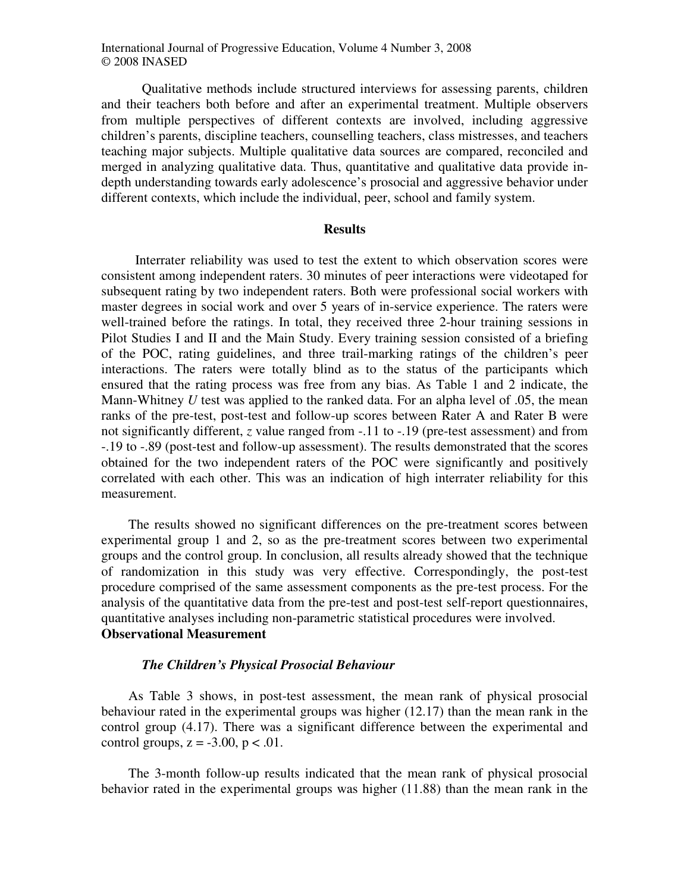Qualitative methods include structured interviews for assessing parents, children and their teachers both before and after an experimental treatment. Multiple observers from multiple perspectives of different contexts are involved, including aggressive children's parents, discipline teachers, counselling teachers, class mistresses, and teachers teaching major subjects. Multiple qualitative data sources are compared, reconciled and merged in analyzing qualitative data. Thus, quantitative and qualitative data provide indepth understanding towards early adolescence's prosocial and aggressive behavior under different contexts, which include the individual, peer, school and family system.

#### **Results**

Interrater reliability was used to test the extent to which observation scores were consistent among independent raters. 30 minutes of peer interactions were videotaped for subsequent rating by two independent raters. Both were professional social workers with master degrees in social work and over 5 years of in-service experience. The raters were well-trained before the ratings. In total, they received three 2-hour training sessions in Pilot Studies I and II and the Main Study. Every training session consisted of a briefing of the POC, rating guidelines, and three trail-marking ratings of the children's peer interactions. The raters were totally blind as to the status of the participants which ensured that the rating process was free from any bias. As Table 1 and 2 indicate, the Mann-Whitney *U* test was applied to the ranked data. For an alpha level of .05, the mean ranks of the pre-test, post-test and follow-up scores between Rater A and Rater B were not significantly different, *z* value ranged from -.11 to -.19 (pre-test assessment) and from -.19 to -.89 (post-test and follow-up assessment). The results demonstrated that the scores obtained for the two independent raters of the POC were significantly and positively correlated with each other. This was an indication of high interrater reliability for this measurement.

The results showed no significant differences on the pre-treatment scores between experimental group 1 and 2, so as the pre-treatment scores between two experimental groups and the control group. In conclusion, all results already showed that the technique of randomization in this study was very effective. Correspondingly, the post-test procedure comprised of the same assessment components as the pre-test process. For the analysis of the quantitative data from the pre-test and post-test self-report questionnaires, quantitative analyses including non-parametric statistical procedures were involved. **Observational Measurement** 

#### *The Children's Physical Prosocial Behaviour*

As Table 3 shows, in post-test assessment, the mean rank of physical prosocial behaviour rated in the experimental groups was higher (12.17) than the mean rank in the control group (4.17). There was a significant difference between the experimental and control groups,  $z = -3.00$ ,  $p < .01$ .

The 3-month follow-up results indicated that the mean rank of physical prosocial behavior rated in the experimental groups was higher (11.88) than the mean rank in the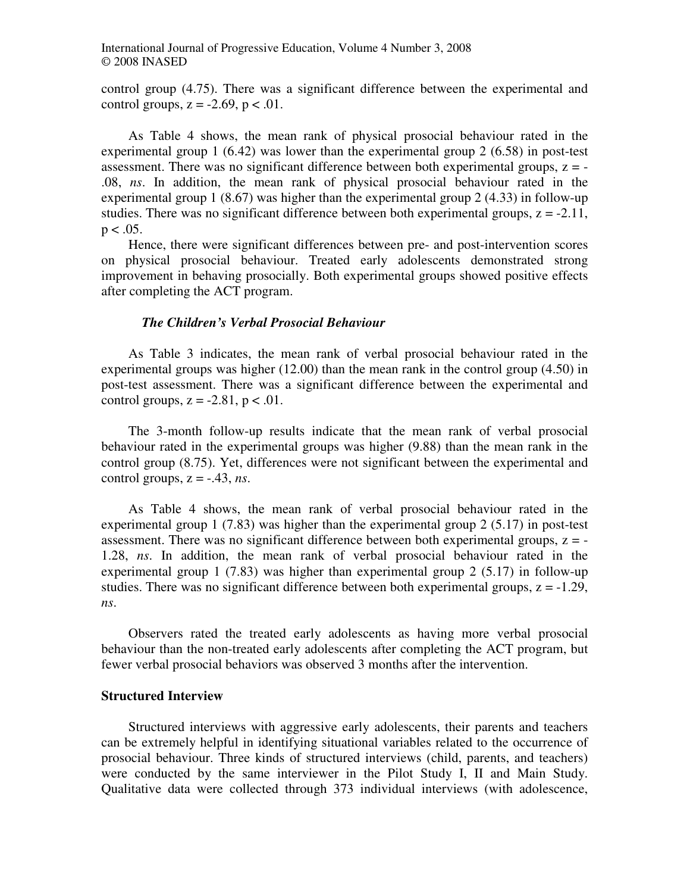control group (4.75). There was a significant difference between the experimental and control groups,  $z = -2.69$ ,  $p < .01$ .

As Table 4 shows, the mean rank of physical prosocial behaviour rated in the experimental group 1 (6.42) was lower than the experimental group 2 (6.58) in post-test assessment. There was no significant difference between both experimental groups,  $z = -$ .08, *ns*. In addition, the mean rank of physical prosocial behaviour rated in the experimental group 1 (8.67) was higher than the experimental group 2 (4.33) in follow-up studies. There was no significant difference between both experimental groups,  $z = -2.11$ ,  $p < .05$ .

Hence, there were significant differences between pre- and post-intervention scores on physical prosocial behaviour. Treated early adolescents demonstrated strong improvement in behaving prosocially. Both experimental groups showed positive effects after completing the ACT program.

#### *The Children's Verbal Prosocial Behaviour*

As Table 3 indicates, the mean rank of verbal prosocial behaviour rated in the experimental groups was higher (12.00) than the mean rank in the control group (4.50) in post-test assessment. There was a significant difference between the experimental and control groups,  $z = -2.81$ ,  $p < .01$ .

The 3-month follow-up results indicate that the mean rank of verbal prosocial behaviour rated in the experimental groups was higher (9.88) than the mean rank in the control group (8.75). Yet, differences were not significant between the experimental and control groups,  $z = -.43$ , *ns*.

As Table 4 shows, the mean rank of verbal prosocial behaviour rated in the experimental group 1 (7.83) was higher than the experimental group 2 (5.17) in post-test assessment. There was no significant difference between both experimental groups,  $z = -$ 1.28, *ns*. In addition, the mean rank of verbal prosocial behaviour rated in the experimental group 1 (7.83) was higher than experimental group 2 (5.17) in follow-up studies. There was no significant difference between both experimental groups,  $z = -1.29$ , *ns*.

Observers rated the treated early adolescents as having more verbal prosocial behaviour than the non-treated early adolescents after completing the ACT program, but fewer verbal prosocial behaviors was observed 3 months after the intervention.

#### **Structured Interview**

Structured interviews with aggressive early adolescents, their parents and teachers can be extremely helpful in identifying situational variables related to the occurrence of prosocial behaviour. Three kinds of structured interviews (child, parents, and teachers) were conducted by the same interviewer in the Pilot Study I, II and Main Study. Qualitative data were collected through 373 individual interviews (with adolescence,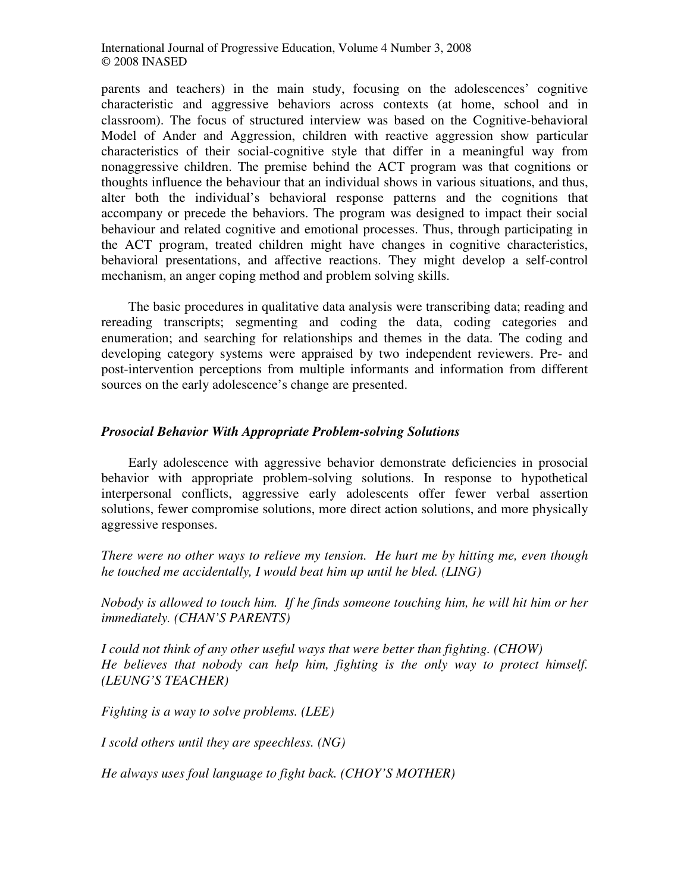parents and teachers) in the main study, focusing on the adolescences' cognitive characteristic and aggressive behaviors across contexts (at home, school and in classroom). The focus of structured interview was based on the Cognitive-behavioral Model of Ander and Aggression, children with reactive aggression show particular characteristics of their social-cognitive style that differ in a meaningful way from nonaggressive children. The premise behind the ACT program was that cognitions or thoughts influence the behaviour that an individual shows in various situations, and thus, alter both the individual's behavioral response patterns and the cognitions that accompany or precede the behaviors. The program was designed to impact their social behaviour and related cognitive and emotional processes. Thus, through participating in the ACT program, treated children might have changes in cognitive characteristics, behavioral presentations, and affective reactions. They might develop a self-control mechanism, an anger coping method and problem solving skills.

The basic procedures in qualitative data analysis were transcribing data; reading and rereading transcripts; segmenting and coding the data, coding categories and enumeration; and searching for relationships and themes in the data. The coding and developing category systems were appraised by two independent reviewers. Pre- and post-intervention perceptions from multiple informants and information from different sources on the early adolescence's change are presented.

# *Prosocial Behavior With Appropriate Problem-solving Solutions*

Early adolescence with aggressive behavior demonstrate deficiencies in prosocial behavior with appropriate problem-solving solutions. In response to hypothetical interpersonal conflicts, aggressive early adolescents offer fewer verbal assertion solutions, fewer compromise solutions, more direct action solutions, and more physically aggressive responses.

*There were no other ways to relieve my tension. He hurt me by hitting me, even though he touched me accidentally, I would beat him up until he bled. (LING)* 

*Nobody is allowed to touch him. If he finds someone touching him, he will hit him or her immediately. (CHAN'S PARENTS)* 

*I could not think of any other useful ways that were better than fighting. (CHOW) He believes that nobody can help him, fighting is the only way to protect himself. (LEUNG'S TEACHER)* 

*Fighting is a way to solve problems. (LEE)* 

*I scold others until they are speechless. (NG)* 

*He always uses foul language to fight back. (CHOY'S MOTHER)*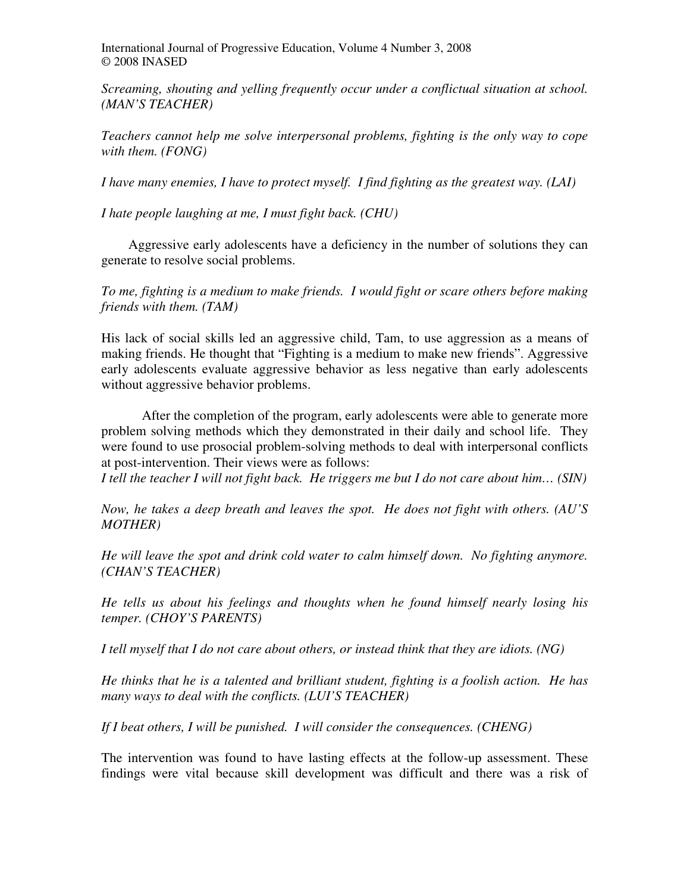*Screaming, shouting and yelling frequently occur under a conflictual situation at school. (MAN'S TEACHER)* 

*Teachers cannot help me solve interpersonal problems, fighting is the only way to cope with them. (FONG)*

*I have many enemies, I have to protect myself. I find fighting as the greatest way. (LAI)* 

*I hate people laughing at me, I must fight back. (CHU)*

Aggressive early adolescents have a deficiency in the number of solutions they can generate to resolve social problems.

*To me, fighting is a medium to make friends. I would fight or scare others before making friends with them. (TAM)* 

His lack of social skills led an aggressive child, Tam, to use aggression as a means of making friends. He thought that "Fighting is a medium to make new friends". Aggressive early adolescents evaluate aggressive behavior as less negative than early adolescents without aggressive behavior problems.

 After the completion of the program, early adolescents were able to generate more problem solving methods which they demonstrated in their daily and school life. They were found to use prosocial problem-solving methods to deal with interpersonal conflicts at post-intervention. Their views were as follows:

*I tell the teacher I will not fight back. He triggers me but I do not care about him… (SIN)* 

*Now, he takes a deep breath and leaves the spot. He does not fight with others. (AU'S MOTHER)* 

*He will leave the spot and drink cold water to calm himself down. No fighting anymore. (CHAN'S TEACHER)* 

*He tells us about his feelings and thoughts when he found himself nearly losing his temper. (CHOY'S PARENTS)* 

*I tell myself that I do not care about others, or instead think that they are idiots. (NG)* 

*He thinks that he is a talented and brilliant student, fighting is a foolish action. He has many ways to deal with the conflicts. (LUI'S TEACHER)* 

*If I beat others, I will be punished. I will consider the consequences. (CHENG)* 

The intervention was found to have lasting effects at the follow-up assessment. These findings were vital because skill development was difficult and there was a risk of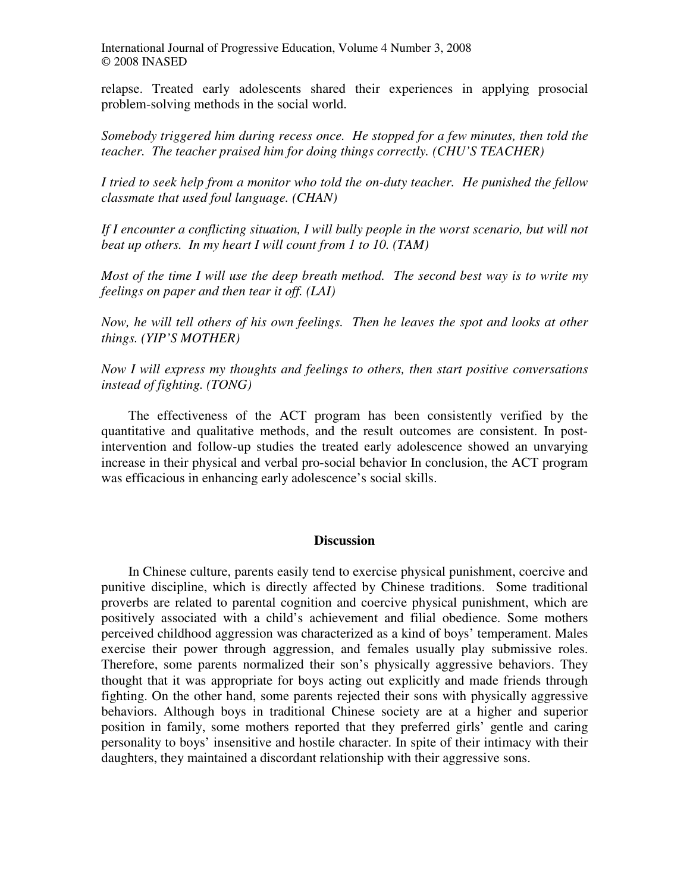relapse. Treated early adolescents shared their experiences in applying prosocial problem-solving methods in the social world.

*Somebody triggered him during recess once. He stopped for a few minutes, then told the teacher. The teacher praised him for doing things correctly. (CHU'S TEACHER)* 

*I tried to seek help from a monitor who told the on-duty teacher. He punished the fellow classmate that used foul language. (CHAN)* 

If I encounter a conflicting situation, I will bully people in the worst scenario, but will not *beat up others. In my heart I will count from 1 to 10. (TAM)* 

*Most of the time I will use the deep breath method. The second best way is to write my feelings on paper and then tear it off. (LAI)* 

*Now, he will tell others of his own feelings. Then he leaves the spot and looks at other things. (YIP'S MOTHER)* 

*Now I will express my thoughts and feelings to others, then start positive conversations instead of fighting. (TONG)* 

The effectiveness of the ACT program has been consistently verified by the quantitative and qualitative methods, and the result outcomes are consistent. In postintervention and follow-up studies the treated early adolescence showed an unvarying increase in their physical and verbal pro-social behavior In conclusion, the ACT program was efficacious in enhancing early adolescence's social skills.

#### **Discussion**

In Chinese culture, parents easily tend to exercise physical punishment, coercive and punitive discipline, which is directly affected by Chinese traditions. Some traditional proverbs are related to parental cognition and coercive physical punishment, which are positively associated with a child's achievement and filial obedience. Some mothers perceived childhood aggression was characterized as a kind of boys' temperament. Males exercise their power through aggression, and females usually play submissive roles. Therefore, some parents normalized their son's physically aggressive behaviors. They thought that it was appropriate for boys acting out explicitly and made friends through fighting. On the other hand, some parents rejected their sons with physically aggressive behaviors. Although boys in traditional Chinese society are at a higher and superior position in family, some mothers reported that they preferred girls' gentle and caring personality to boys' insensitive and hostile character. In spite of their intimacy with their daughters, they maintained a discordant relationship with their aggressive sons.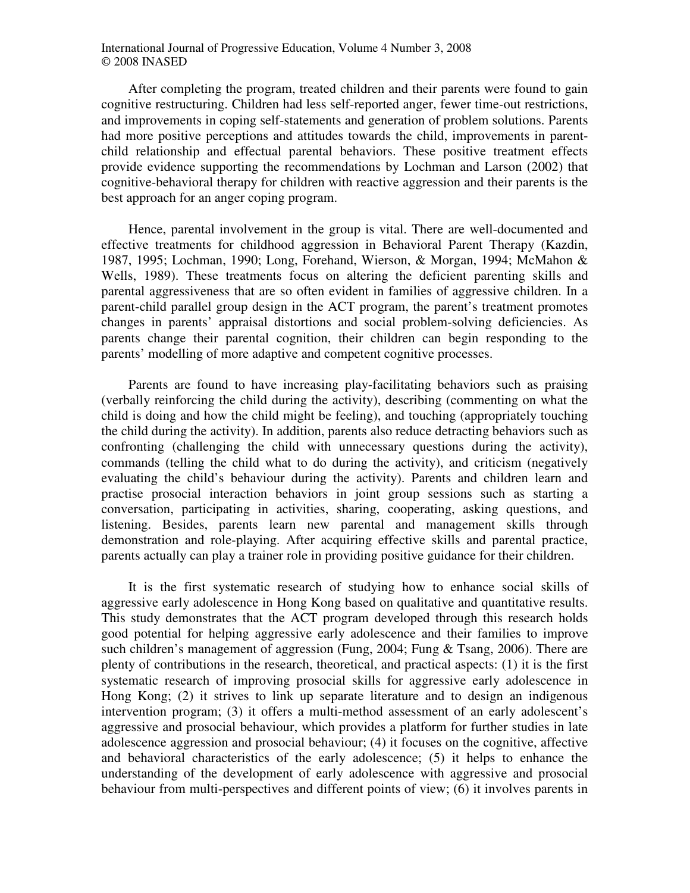After completing the program, treated children and their parents were found to gain cognitive restructuring. Children had less self-reported anger, fewer time-out restrictions, and improvements in coping self-statements and generation of problem solutions. Parents had more positive perceptions and attitudes towards the child, improvements in parentchild relationship and effectual parental behaviors. These positive treatment effects provide evidence supporting the recommendations by Lochman and Larson (2002) that cognitive-behavioral therapy for children with reactive aggression and their parents is the best approach for an anger coping program.

Hence, parental involvement in the group is vital. There are well-documented and effective treatments for childhood aggression in Behavioral Parent Therapy (Kazdin, 1987, 1995; Lochman, 1990; Long, Forehand, Wierson, & Morgan, 1994; McMahon & Wells, 1989). These treatments focus on altering the deficient parenting skills and parental aggressiveness that are so often evident in families of aggressive children. In a parent-child parallel group design in the ACT program, the parent's treatment promotes changes in parents' appraisal distortions and social problem-solving deficiencies. As parents change their parental cognition, their children can begin responding to the parents' modelling of more adaptive and competent cognitive processes.

Parents are found to have increasing play-facilitating behaviors such as praising (verbally reinforcing the child during the activity), describing (commenting on what the child is doing and how the child might be feeling), and touching (appropriately touching the child during the activity). In addition, parents also reduce detracting behaviors such as confronting (challenging the child with unnecessary questions during the activity), commands (telling the child what to do during the activity), and criticism (negatively evaluating the child's behaviour during the activity). Parents and children learn and practise prosocial interaction behaviors in joint group sessions such as starting a conversation, participating in activities, sharing, cooperating, asking questions, and listening. Besides, parents learn new parental and management skills through demonstration and role-playing. After acquiring effective skills and parental practice, parents actually can play a trainer role in providing positive guidance for their children.

It is the first systematic research of studying how to enhance social skills of aggressive early adolescence in Hong Kong based on qualitative and quantitative results. This study demonstrates that the ACT program developed through this research holds good potential for helping aggressive early adolescence and their families to improve such children's management of aggression (Fung, 2004; Fung & Tsang, 2006). There are plenty of contributions in the research, theoretical, and practical aspects: (1) it is the first systematic research of improving prosocial skills for aggressive early adolescence in Hong Kong; (2) it strives to link up separate literature and to design an indigenous intervention program; (3) it offers a multi-method assessment of an early adolescent's aggressive and prosocial behaviour, which provides a platform for further studies in late adolescence aggression and prosocial behaviour; (4) it focuses on the cognitive, affective and behavioral characteristics of the early adolescence; (5) it helps to enhance the understanding of the development of early adolescence with aggressive and prosocial behaviour from multi-perspectives and different points of view; (6) it involves parents in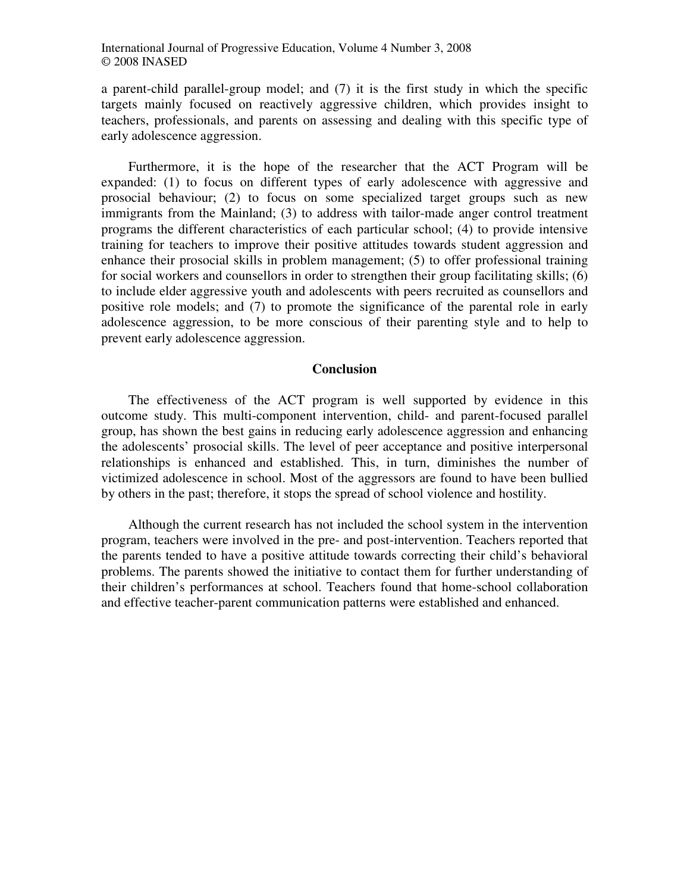a parent-child parallel-group model; and (7) it is the first study in which the specific targets mainly focused on reactively aggressive children, which provides insight to teachers, professionals, and parents on assessing and dealing with this specific type of early adolescence aggression.

Furthermore, it is the hope of the researcher that the ACT Program will be expanded: (1) to focus on different types of early adolescence with aggressive and prosocial behaviour; (2) to focus on some specialized target groups such as new immigrants from the Mainland; (3) to address with tailor-made anger control treatment programs the different characteristics of each particular school; (4) to provide intensive training for teachers to improve their positive attitudes towards student aggression and enhance their prosocial skills in problem management; (5) to offer professional training for social workers and counsellors in order to strengthen their group facilitating skills; (6) to include elder aggressive youth and adolescents with peers recruited as counsellors and positive role models; and (7) to promote the significance of the parental role in early adolescence aggression, to be more conscious of their parenting style and to help to prevent early adolescence aggression.

#### **Conclusion**

The effectiveness of the ACT program is well supported by evidence in this outcome study. This multi-component intervention, child- and parent-focused parallel group, has shown the best gains in reducing early adolescence aggression and enhancing the adolescents' prosocial skills. The level of peer acceptance and positive interpersonal relationships is enhanced and established. This, in turn, diminishes the number of victimized adolescence in school. Most of the aggressors are found to have been bullied by others in the past; therefore, it stops the spread of school violence and hostility.

Although the current research has not included the school system in the intervention program, teachers were involved in the pre- and post-intervention. Teachers reported that the parents tended to have a positive attitude towards correcting their child's behavioral problems. The parents showed the initiative to contact them for further understanding of their children's performances at school. Teachers found that home-school collaboration and effective teacher-parent communication patterns were established and enhanced.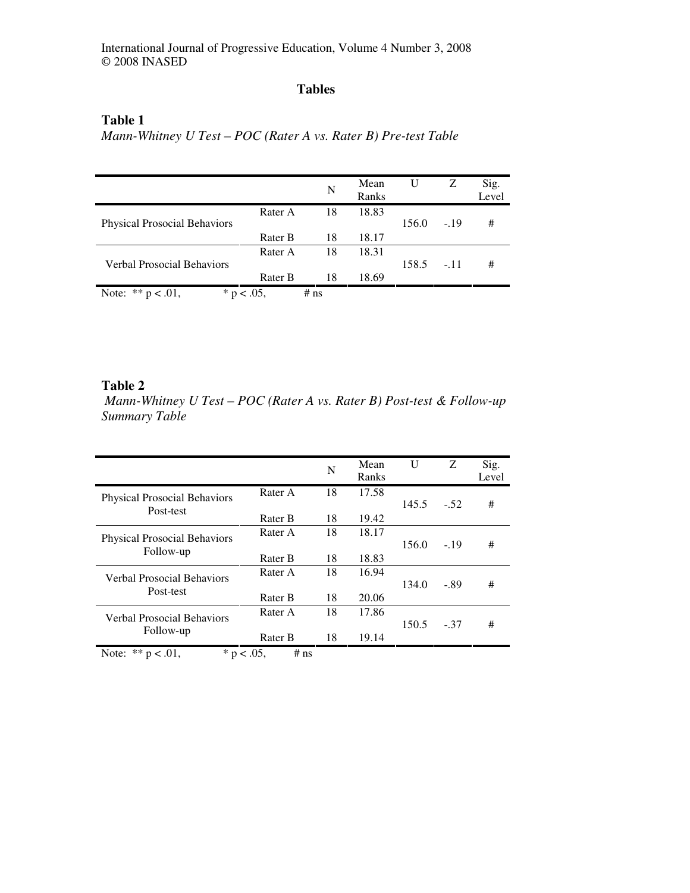# **Tables**

# **Table 1**

*Mann-Whitney U Test – POC (Rater A vs. Rater B) Pre-test Table* 

|                                       |         | N      | Mean<br>Ranks | U     | Z      | Sig.<br>Level |
|---------------------------------------|---------|--------|---------------|-------|--------|---------------|
| <b>Physical Prosocial Behaviors</b>   | Rater A | 18     | 18.83         | 156.0 | $-.19$ | #             |
|                                       | Rater B | 18     | 18.17         |       |        |               |
|                                       | Rater A | 18     | 18.31         |       |        |               |
| Verbal Prosocial Behaviors            |         |        |               | 158.5 | $-.11$ | #             |
|                                       | Rater B | 18     | 18.69         |       |        |               |
| Note: $** p < .01$ ,<br>* $p < .05$ , |         | $#$ ns |               |       |        |               |

## **Table 2**

 *Mann-Whitney U Test – POC (Rater A vs. Rater B) Post-test & Follow-up Summary Table* 

|                                                  |         | N  | Mean<br>Ranks | U     | Z      | Sig.<br>Level |
|--------------------------------------------------|---------|----|---------------|-------|--------|---------------|
| <b>Physical Prosocial Behaviors</b><br>Post-test | Rater A | 18 | 17.58         |       |        |               |
|                                                  |         |    |               | 145.5 | $-.52$ | #             |
|                                                  | Rater B | 18 | 19.42         |       |        |               |
| <b>Physical Prosocial Behaviors</b><br>Follow-up | Rater A | 18 | 18.17         |       |        |               |
|                                                  |         |    |               | 156.0 | $-19$  | #             |
|                                                  | Rater B | 18 | 18.83         |       |        |               |
| <b>Verbal Prosocial Behaviors</b><br>Post-test   | Rater A | 18 | 16.94         |       |        |               |
|                                                  |         |    |               | 134.0 | $-.89$ | #             |
|                                                  | Rater B | 18 | 20.06         |       |        |               |
| <b>Verbal Prosocial Behaviors</b><br>Follow-up   | Rater A | 18 | 17.86         |       |        |               |
|                                                  |         |    |               | 150.5 | $-.37$ | #             |
|                                                  | Rater B | 18 | 19.14         |       |        |               |
| Note: $** p < .01$ ,<br>* $p < .05$ ,            | $#$ ns  |    |               |       |        |               |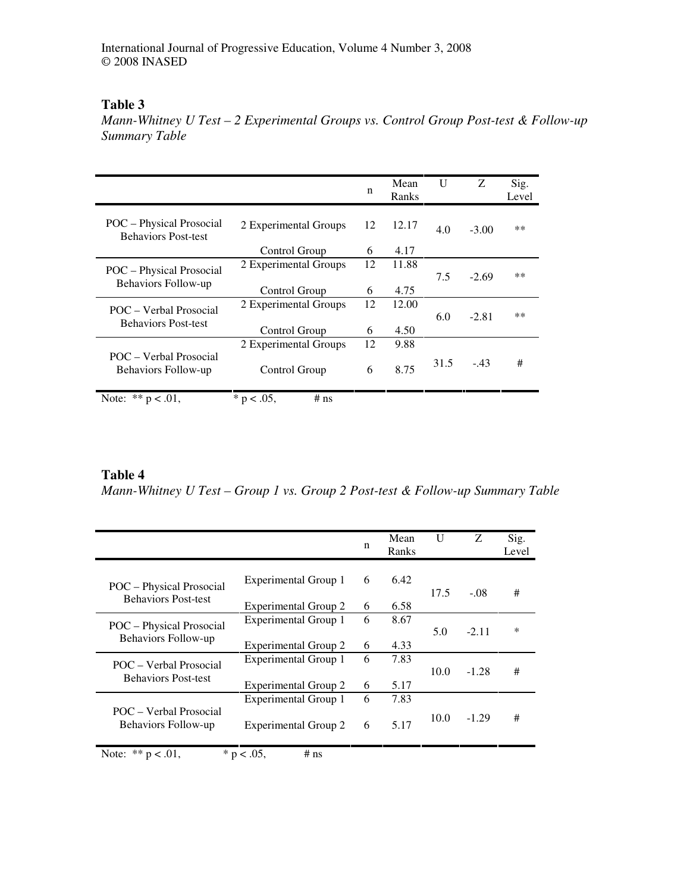# **Table 3**

*Mann-Whitney U Test – 2 Experimental Groups vs. Control Group Post-test & Follow-up Summary Table* 

|                                                        |                         | n  | Mean<br>Ranks | U    | Z       | Sig.<br>Level |
|--------------------------------------------------------|-------------------------|----|---------------|------|---------|---------------|
| POC – Physical Prosocial<br><b>Behaviors Post-test</b> | 2 Experimental Groups   | 12 | 12.17         | 4.0  | $-3.00$ | $**$          |
|                                                        | Control Group           | 6  | 4.17          |      |         |               |
| POC - Physical Prosocial<br>Behaviors Follow-up        | 2 Experimental Groups   | 12 | 11.88         |      |         |               |
|                                                        |                         |    |               | 7.5  | $-2.69$ | $**$          |
|                                                        | Control Group           | 6  | 4.75          |      |         |               |
| POC – Verbal Prosocial<br><b>Behaviors Post-test</b>   | 2 Experimental Groups   | 12 | 12.00         |      |         |               |
|                                                        |                         |    |               | 6.0  | $-2.81$ | $***$         |
|                                                        | Control Group           | 6  | 4.50          |      |         |               |
| POC – Verbal Prosocial<br>Behaviors Follow-up          | 2 Experimental Groups   | 12 | 9.88          |      |         |               |
|                                                        | Control Group           | 6  | 8.75          | 31.5 | $-.43$  | #             |
| Note: $** p < .01$ ,                                   | * $p < .05$ ,<br>$#$ ns |    |               |      |         |               |

# **Table 4**

*Mann-Whitney U Test – Group 1 vs. Group 2 Post-test & Follow-up Summary Table* 

|                                                        |                             | n | Mean<br>Ranks | U    | Z.      | Sig.<br>Level |
|--------------------------------------------------------|-----------------------------|---|---------------|------|---------|---------------|
| POC – Physical Prosocial<br><b>Behaviors Post-test</b> | Experimental Group 1        | 6 | 6.42          | 17.5 | $-.08$  | #             |
|                                                        | <b>Experimental Group 2</b> | 6 | 6.58          |      |         |               |
| POC – Physical Prosocial<br>Behaviors Follow-up        | Experimental Group 1        | 6 | 8.67          |      |         |               |
|                                                        |                             |   |               | 5.0  | $-2.11$ | $\ast$        |
|                                                        | Experimental Group 2        | 6 | 4.33          |      |         |               |
| POC – Verbal Prosocial<br><b>Behaviors Post-test</b>   | <b>Experimental Group 1</b> | 6 | 7.83          |      |         |               |
|                                                        |                             |   |               | 10.0 | $-1.28$ | #             |
|                                                        | Experimental Group 2        | 6 | 5.17          |      |         |               |
| POC – Verbal Prosocial<br>Behaviors Follow-up          | Experimental Group 1        | 6 | 7.83          |      |         |               |
|                                                        | <b>Experimental Group 2</b> | 6 | 5.17          | 10.0 | $-1.29$ | #             |

Note: \*\*  $p < .01$ , \* p < .05, # ns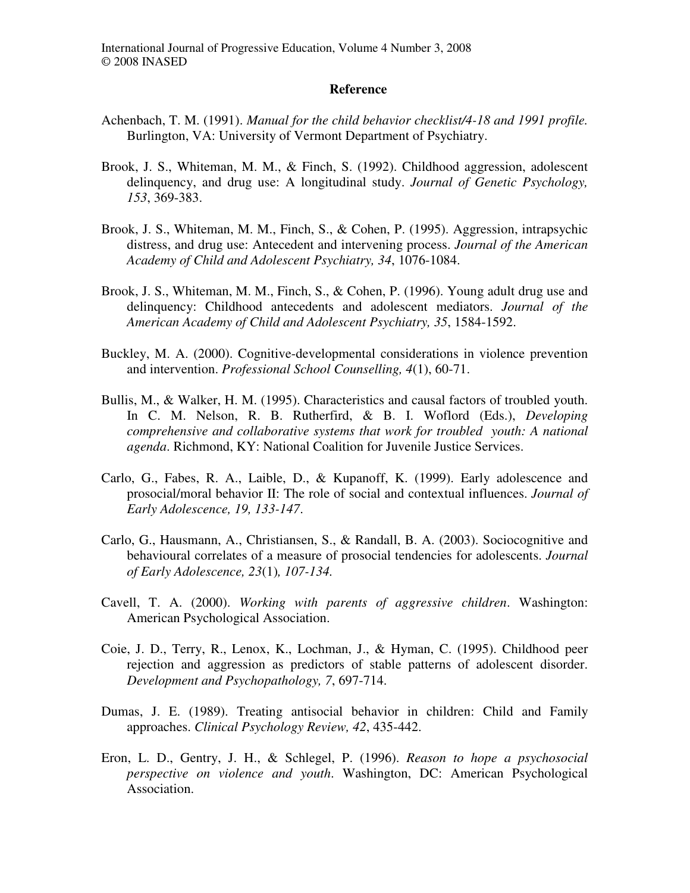#### **Reference**

- Achenbach, T. M. (1991). *Manual for the child behavior checklist/4-18 and 1991 profile.* Burlington, VA: University of Vermont Department of Psychiatry.
- Brook, J. S., Whiteman, M. M., & Finch, S. (1992). Childhood aggression, adolescent delinquency, and drug use: A longitudinal study. *Journal of Genetic Psychology, 153*, 369-383.
- Brook, J. S., Whiteman, M. M., Finch, S., & Cohen, P. (1995). Aggression, intrapsychic distress, and drug use: Antecedent and intervening process. *Journal of the American Academy of Child and Adolescent Psychiatry, 34*, 1076-1084.
- Brook, J. S., Whiteman, M. M., Finch, S., & Cohen, P. (1996). Young adult drug use and delinquency: Childhood antecedents and adolescent mediators. *Journal of the American Academy of Child and Adolescent Psychiatry, 35*, 1584-1592.
- Buckley, M. A. (2000). Cognitive-developmental considerations in violence prevention and intervention. *Professional School Counselling, 4*(1), 60-71.
- Bullis, M., & Walker, H. M. (1995). Characteristics and causal factors of troubled youth. In C. M. Nelson, R. B. Rutherfird, & B. I. Woflord (Eds.), *Developing comprehensive and collaborative systems that work for troubled youth: A national agenda*. Richmond, KY: National Coalition for Juvenile Justice Services.
- Carlo, G., Fabes, R. A., Laible, D., & Kupanoff, K. (1999). Early adolescence and prosocial/moral behavior II: The role of social and contextual influences. *Journal of Early Adolescence, 19, 133-147*.
- Carlo, G., Hausmann, A., Christiansen, S., & Randall, B. A. (2003). Sociocognitive and behavioural correlates of a measure of prosocial tendencies for adolescents. *Journal of Early Adolescence, 23*(1)*, 107-134.*
- Cavell, T. A. (2000). *Working with parents of aggressive children*. Washington: American Psychological Association.
- Coie, J. D., Terry, R., Lenox, K., Lochman, J., & Hyman, C. (1995). Childhood peer rejection and aggression as predictors of stable patterns of adolescent disorder. *Development and Psychopathology, 7*, 697-714.
- Dumas, J. E. (1989). Treating antisocial behavior in children: Child and Family approaches. *Clinical Psychology Review, 42*, 435-442.
- Eron, L. D., Gentry, J. H., & Schlegel, P. (1996). *Reason to hope a psychosocial perspective on violence and youth*. Washington, DC: American Psychological Association.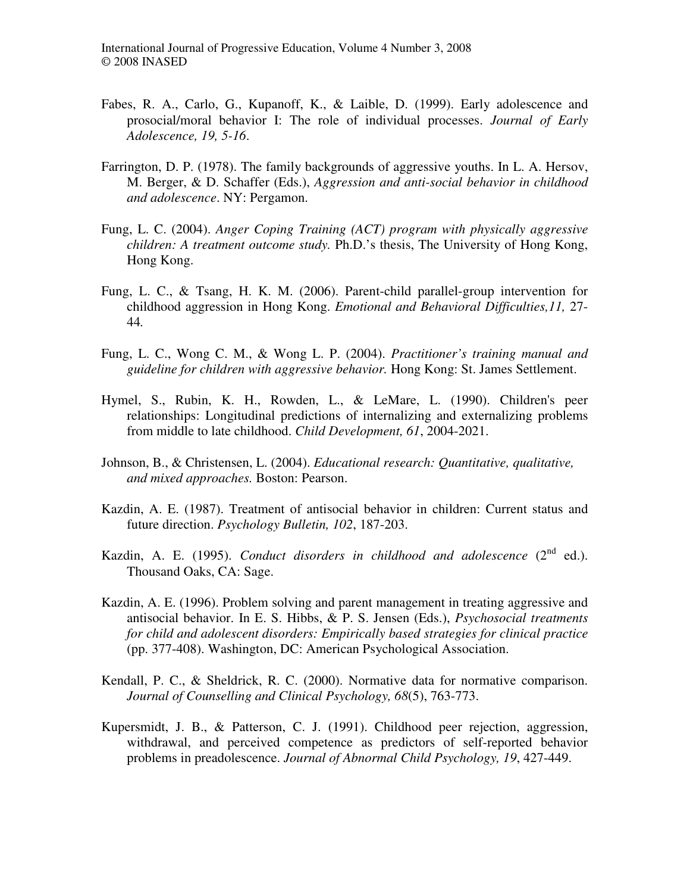- Fabes, R. A., Carlo, G., Kupanoff, K., & Laible, D. (1999). Early adolescence and prosocial/moral behavior I: The role of individual processes. *Journal of Early Adolescence, 19, 5-16*.
- Farrington, D. P. (1978). The family backgrounds of aggressive youths. In L. A. Hersov, M. Berger, & D. Schaffer (Eds.), *Aggression and anti-social behavior in childhood and adolescence*. NY: Pergamon.
- Fung, L. C. (2004). *Anger Coping Training (ACT) program with physically aggressive children: A treatment outcome study.* Ph.D.'s thesis, The University of Hong Kong, Hong Kong.
- Fung, L. C., & Tsang, H. K. M. (2006). Parent-child parallel-group intervention for childhood aggression in Hong Kong. *Emotional and Behavioral Difficulties,11,* 27- 44*.*
- Fung, L. C., Wong C. M., & Wong L. P. (2004). *Practitioner's training manual and guideline for children with aggressive behavior.* Hong Kong: St. James Settlement.
- Hymel, S., Rubin, K. H., Rowden, L., & LeMare, L. (1990). Children's peer relationships: Longitudinal predictions of internalizing and externalizing problems from middle to late childhood. *Child Development, 61*, 2004-2021.
- Johnson, B., & Christensen, L. (2004). *Educational research: Quantitative, qualitative, and mixed approaches.* Boston: Pearson.
- Kazdin, A. E. (1987). Treatment of antisocial behavior in children: Current status and future direction. *Psychology Bulletin, 102*, 187-203.
- Kazdin, A. E. (1995). *Conduct disorders in childhood and adolescence*  $(2^{nd}$  ed.). Thousand Oaks, CA: Sage.
- Kazdin, A. E. (1996). Problem solving and parent management in treating aggressive and antisocial behavior. In E. S. Hibbs, & P. S. Jensen (Eds.), *Psychosocial treatments for child and adolescent disorders: Empirically based strategies for clinical practice* (pp. 377-408). Washington, DC: American Psychological Association.
- Kendall, P. C., & Sheldrick, R. C. (2000). Normative data for normative comparison. *Journal of Counselling and Clinical Psychology, 68*(5), 763-773.
- Kupersmidt, J. B., & Patterson, C. J. (1991). Childhood peer rejection, aggression, withdrawal, and perceived competence as predictors of self-reported behavior problems in preadolescence. *Journal of Abnormal Child Psychology, 19*, 427-449.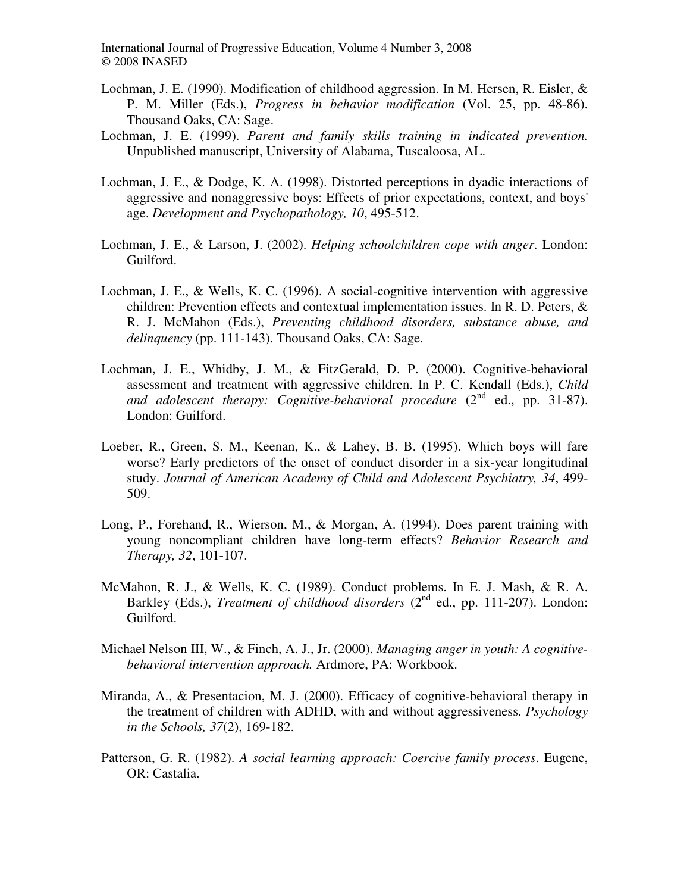- Lochman, J. E. (1990). Modification of childhood aggression. In M. Hersen, R. Eisler, & P. M. Miller (Eds.), *Progress in behavior modification* (Vol. 25, pp. 48-86). Thousand Oaks, CA: Sage.
- Lochman, J. E. (1999). *Parent and family skills training in indicated prevention.*  Unpublished manuscript, University of Alabama, Tuscaloosa, AL.
- Lochman, J. E., & Dodge, K. A. (1998). Distorted perceptions in dyadic interactions of aggressive and nonaggressive boys: Effects of prior expectations, context, and boys' age. *Development and Psychopathology, 10*, 495-512.
- Lochman, J. E., & Larson, J. (2002). *Helping schoolchildren cope with anger*. London: Guilford.
- Lochman, J. E., & Wells, K. C. (1996). A social-cognitive intervention with aggressive children: Prevention effects and contextual implementation issues. In R. D. Peters, & R. J. McMahon (Eds.), *Preventing childhood disorders, substance abuse, and delinquency* (pp. 111-143). Thousand Oaks, CA: Sage.
- Lochman, J. E., Whidby, J. M., & FitzGerald, D. P. (2000). Cognitive-behavioral assessment and treatment with aggressive children. In P. C. Kendall (Eds.), *Child*  and adolescent therapy: Cognitive-behavioral procedure (2<sup>nd</sup> ed., pp. 31-87). London: Guilford.
- Loeber, R., Green, S. M., Keenan, K., & Lahey, B. B. (1995). Which boys will fare worse? Early predictors of the onset of conduct disorder in a six-year longitudinal study. *Journal of American Academy of Child and Adolescent Psychiatry, 34*, 499- 509.
- Long, P., Forehand, R., Wierson, M., & Morgan, A. (1994). Does parent training with young noncompliant children have long-term effects? *Behavior Research and Therapy, 32*, 101-107.
- McMahon, R. J., & Wells, K. C. (1989). Conduct problems. In E. J. Mash, & R. A. Barkley (Eds.), *Treatment of childhood disorders* (2<sup>nd</sup> ed., pp. 111-207). London: Guilford.
- Michael Nelson III, W., & Finch, A. J., Jr. (2000). *Managing anger in youth: A cognitivebehavioral intervention approach.* Ardmore, PA: Workbook.
- Miranda, A., & Presentacion, M. J. (2000). Efficacy of cognitive-behavioral therapy in the treatment of children with ADHD, with and without aggressiveness. *Psychology in the Schools, 37*(2), 169-182.
- Patterson, G. R. (1982). *A social learning approach: Coercive family process*. Eugene, OR: Castalia.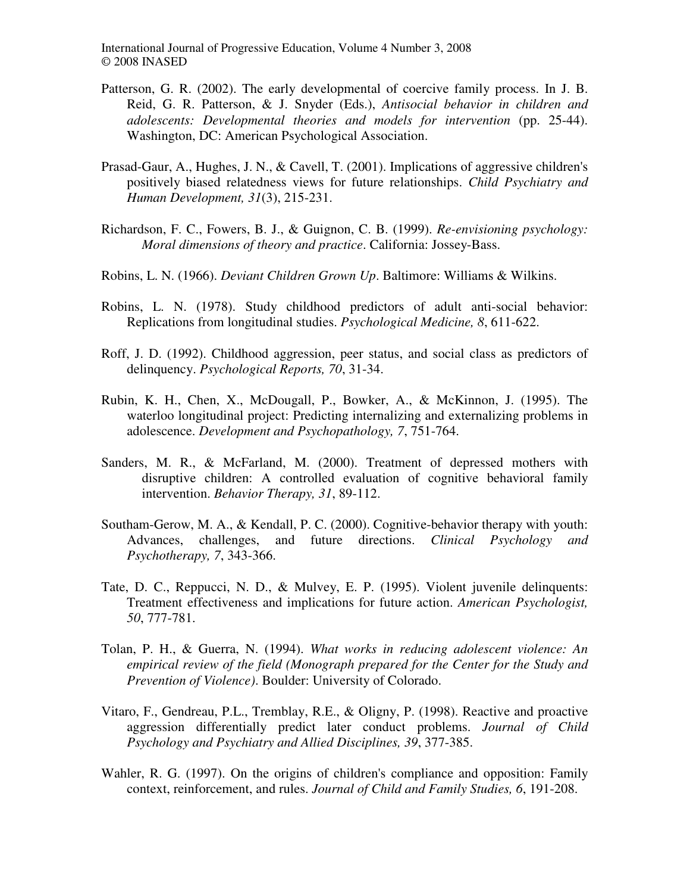- Patterson, G. R. (2002). The early developmental of coercive family process. In J. B. Reid, G. R. Patterson, & J. Snyder (Eds.), *Antisocial behavior in children and adolescents: Developmental theories and models for intervention* (pp. 25-44). Washington, DC: American Psychological Association.
- Prasad-Gaur, A., Hughes, J. N., & Cavell, T. (2001). Implications of aggressive children's positively biased relatedness views for future relationships. *Child Psychiatry and Human Development, 31*(3), 215-231.
- Richardson, F. C., Fowers, B. J., & Guignon, C. B. (1999). *Re-envisioning psychology: Moral dimensions of theory and practice*. California: Jossey-Bass.
- Robins, L. N. (1966). *Deviant Children Grown Up*. Baltimore: Williams & Wilkins.
- Robins, L. N. (1978). Study childhood predictors of adult anti-social behavior: Replications from longitudinal studies. *Psychological Medicine, 8*, 611-622.
- Roff, J. D. (1992). Childhood aggression, peer status, and social class as predictors of delinquency. *Psychological Reports, 70*, 31-34.
- Rubin, K. H., Chen, X., McDougall, P., Bowker, A., & McKinnon, J. (1995). The waterloo longitudinal project: Predicting internalizing and externalizing problems in adolescence. *Development and Psychopathology, 7*, 751-764.
- Sanders, M. R., & McFarland, M. (2000). Treatment of depressed mothers with disruptive children: A controlled evaluation of cognitive behavioral family intervention. *Behavior Therapy, 31*, 89-112.
- Southam-Gerow, M. A., & Kendall, P. C. (2000). Cognitive-behavior therapy with youth: Advances, challenges, and future directions. *Clinical Psychology and Psychotherapy, 7*, 343-366.
- Tate, D. C., Reppucci, N. D., & Mulvey, E. P. (1995). Violent juvenile delinquents: Treatment effectiveness and implications for future action. *American Psychologist, 50*, 777-781.
- Tolan, P. H., & Guerra, N. (1994). *What works in reducing adolescent violence: An empirical review of the field (Monograph prepared for the Center for the Study and Prevention of Violence)*. Boulder: University of Colorado.
- Vitaro, F., Gendreau, P.L., Tremblay, R.E., & Oligny, P. (1998). Reactive and proactive aggression differentially predict later conduct problems. *Journal of Child Psychology and Psychiatry and Allied Disciplines, 39*, 377-385.
- Wahler, R. G. (1997). On the origins of children's compliance and opposition: Family context, reinforcement, and rules. *Journal of Child and Family Studies, 6*, 191-208.